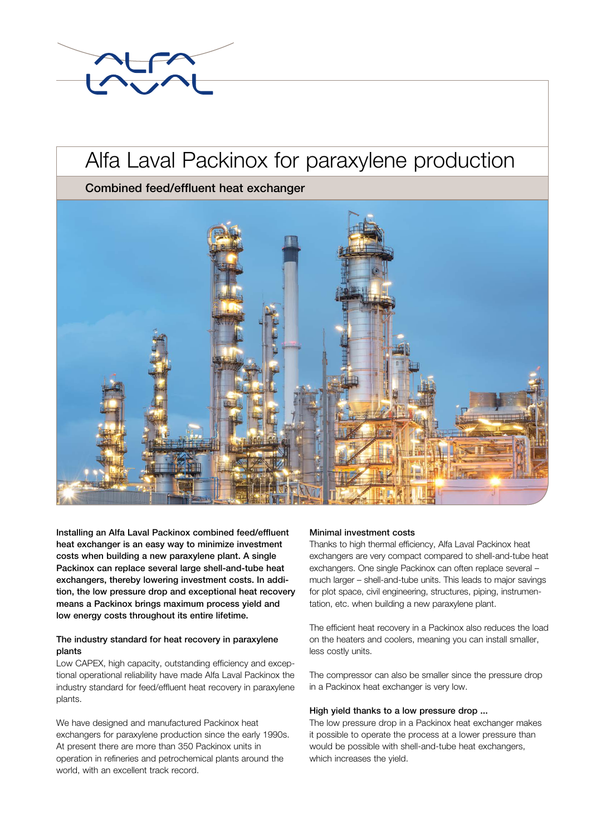

# Alfa Laval Packinox for paraxylene production

Combined feed/effluent heat exchanger



Installing an Alfa Laval Packinox combined feed/effluent heat exchanger is an easy way to minimize investment costs when building a new paraxylene plant. A single Packinox can replace several large shell-and-tube heat exchangers, thereby lowering investment costs. In addition, the low pressure drop and exceptional heat recovery means a Packinox brings maximum process yield and low energy costs throughout its entire lifetime.

## The industry standard for heat recovery in paraxylene plants

Low CAPEX, high capacity, outstanding efficiency and exceptional operational reliability have made Alfa Laval Packinox the industry standard for feed/effluent heat recovery in paraxylene plants.

We have designed and manufactured Packinox heat exchangers for paraxylene production since the early 1990s. At present there are more than 350 Packinox units in operation in refineries and petrochemical plants around the world, with an excellent track record.

## Minimal investment costs

Thanks to high thermal efficiency, Alfa Laval Packinox heat exchangers are very compact compared to shell-and-tube heat exchangers. One single Packinox can often replace several – much larger – shell-and-tube units. This leads to major savings for plot space, civil engineering, structures, piping, instrumentation, etc. when building a new paraxylene plant.

The efficient heat recovery in a Packinox also reduces the load on the heaters and coolers, meaning you can install smaller, less costly units.

The compressor can also be smaller since the pressure drop in a Packinox heat exchanger is very low.

## High yield thanks to a low pressure drop ...

The low pressure drop in a Packinox heat exchanger makes it possible to operate the process at a lower pressure than would be possible with shell-and-tube heat exchangers, which increases the yield.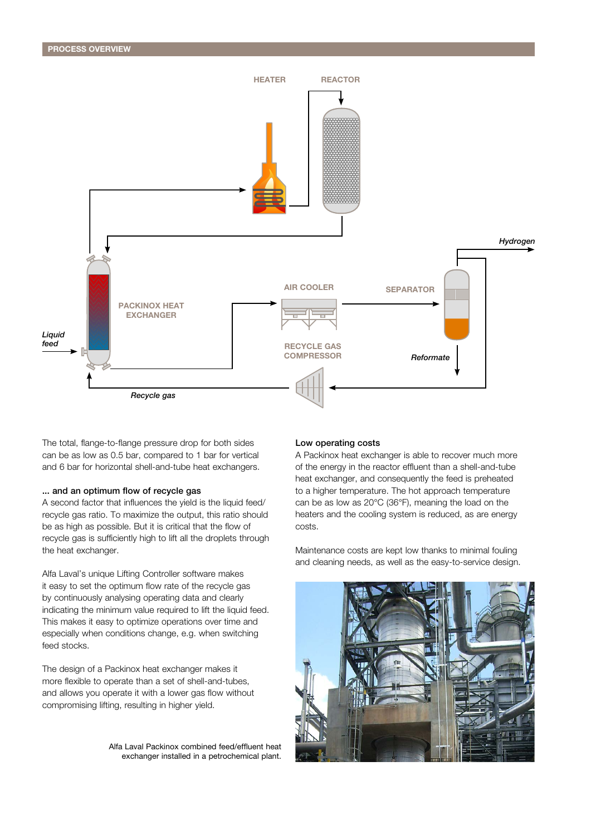

The total, flange-to-flange pressure drop for both sides can be as low as 0.5 bar, compared to 1 bar for vertical and 6 bar for horizontal shell-and-tube heat exchangers.

#### ... and an optimum flow of recycle gas

A second factor that influences the yield is the liquid feed/ recycle gas ratio. To maximize the output, this ratio should be as high as possible. But it is critical that the flow of recycle gas is sufficiently high to lift all the droplets through the heat exchanger.

Alfa Laval's unique Lifting Controller software makes it easy to set the optimum flow rate of the recycle gas by continuously analysing operating data and clearly indicating the minimum value required to lift the liquid feed. This makes it easy to optimize operations over time and especially when conditions change, e.g. when switching feed stocks.

The design of a Packinox heat exchanger makes it more flexible to operate than a set of shell-and-tubes, and allows you operate it with a lower gas flow without compromising lifting, resulting in higher yield.

> Alfa Laval Packinox combined feed/effluent heat exchanger installed in a petrochemical plant.

#### Low operating costs

A Packinox heat exchanger is able to recover much more of the energy in the reactor effluent than a shell-and-tube heat exchanger, and consequently the feed is preheated to a higher temperature. The hot approach temperature can be as low as 20°C (36°F), meaning the load on the heaters and the cooling system is reduced, as are energy costs.

Maintenance costs are kept low thanks to minimal fouling and cleaning needs, as well as the easy-to-service design.